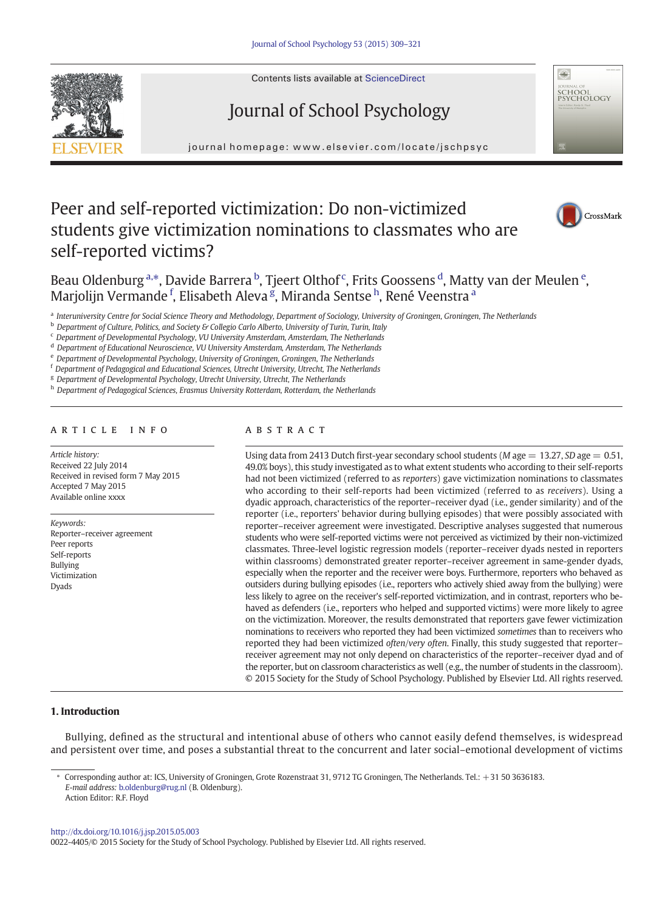

Contents lists available at ScienceDirect

# Journal of School Psychology



journal home page: www.elsevier.com/locate/jschpsychpsych

## Peer and self-reported victimization: Do non-victimized students give victimization nominations to classmates who are self-reported victims?



### Beau Oldenburg <sup>a,\*</sup>, Davide Barrera <sup>b</sup>, Tjeert Olthof <sup>c</sup>, Frits Goossens <sup>d</sup>, Matty van der Meulen <sup>e</sup>, Marjolijn Vermande <sup>f</sup>, Elisabeth Aleva <sup>g</sup>, Miranda Sentse <sup>h</sup>, René Veenstra <sup>a</sup>

a Interuniversity Centre for Social Science Theory and Methodology, Department of Sociology, University of Groningen, Groningen, The Netherlands

<sup>b</sup> Department of Culture, Politics, and Society & Collegio Carlo Alberto, University of Turin, Turin, Italy

<sup>c</sup> Department of Developmental Psychology, VU University Amsterdam, Amsterdam, The Netherlands

<sup>d</sup> Department of Educational Neuroscience, VU University Amsterdam, Amsterdam, The Netherlands

<sup>e</sup> Department of Developmental Psychology, University of Groningen, Groningen, The Netherlands

<sup>f</sup> Department of Pedagogical and Educational Sciences, Utrecht University, Utrecht, The Netherlands

<sup>g</sup> Department of Developmental Psychology, Utrecht University, Utrecht, The Netherlands

h Department of Pedagogical Sciences, Erasmus University Rotterdam, Rotterdam, the Netherlands

#### article info abstract

Article history: Received 22 July 2014 Received in revised form 7 May 2015 Accepted 7 May 2015 Available online xxxx

Keywords: Reporter–receiver agreement Peer reports Self-reports Bullying Victimization Dyads

Using data from 2413 Dutch first-year secondary school students (*M* age  $= 13.27$ , *SD* age  $= 0.51$ , 49.0% boys), this study investigated as to what extent students who according to their self-reports had not been victimized (referred to as reporters) gave victimization nominations to classmates who according to their self-reports had been victimized (referred to as receivers). Using a dyadic approach, characteristics of the reporter–receiver dyad (i.e., gender similarity) and of the reporter (i.e., reporters' behavior during bullying episodes) that were possibly associated with reporter–receiver agreement were investigated. Descriptive analyses suggested that numerous students who were self-reported victims were not perceived as victimized by their non-victimized classmates. Three-level logistic regression models (reporter–receiver dyads nested in reporters within classrooms) demonstrated greater reporter–receiver agreement in same-gender dyads, especially when the reporter and the receiver were boys. Furthermore, reporters who behaved as outsiders during bullying episodes (i.e., reporters who actively shied away from the bullying) were less likely to agree on the receiver's self-reported victimization, and in contrast, reporters who behaved as defenders (i.e., reporters who helped and supported victims) were more likely to agree on the victimization. Moreover, the results demonstrated that reporters gave fewer victimization nominations to receivers who reported they had been victimized sometimes than to receivers who reported they had been victimized often/very often. Finally, this study suggested that reporter– receiver agreement may not only depend on characteristics of the reporter–receiver dyad and of the reporter, but on classroom characteristics as well (e.g., the number of students in the classroom). © 2015 Society for the Study of School Psychology. Published by Elsevier Ltd. All rights reserved.

#### 1. Introduction

Bullying, defined as the structural and intentional abuse of others who cannot easily defend themselves, is widespread and persistent over time, and poses a substantial threat to the concurrent and later social–emotional development of victims

<http://dx.doi.org/10.1016/j.jsp.2015.05.003>

0022-4405/© 2015 Society for the Study of School Psychology. Published by Elsevier Ltd. All rights reserved.

<sup>⁎</sup> Corresponding author at: ICS, University of Groningen, Grote Rozenstraat 31, 9712 TG Groningen, The Netherlands. Tel.: +31 50 3636183. E-mail address: [b.oldenburg@rug.nl](mailto:b.oldenburg@rug.nl) (B. Oldenburg). Action Editor: R.F. Floyd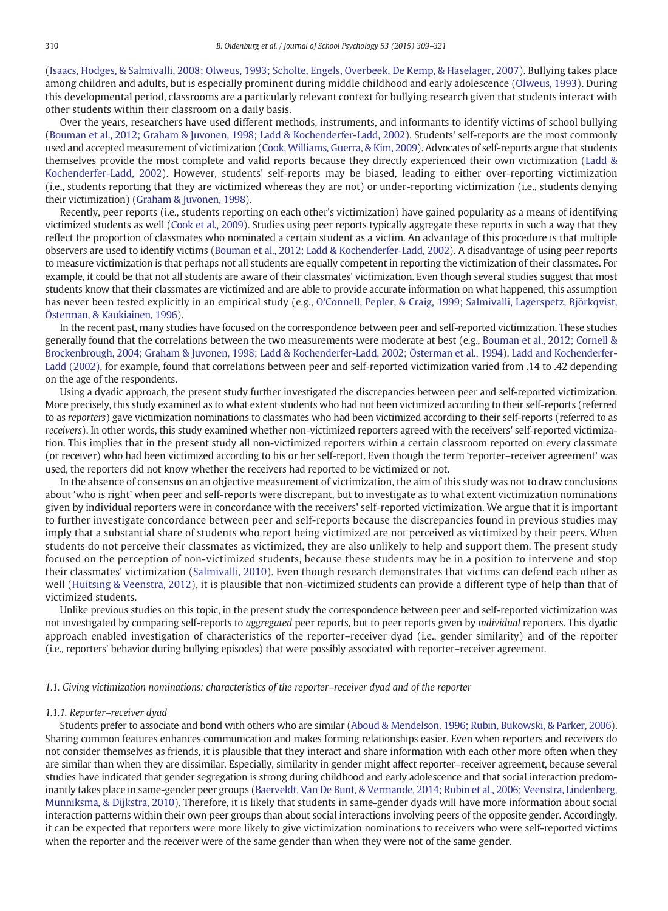[\(Isaacs, Hodges, & Salmivalli, 2008; Olweus, 1993; Scholte, Engels, Overbeek, De Kemp, & Haselager, 2007\)](#page-12-0). Bullying takes place among children and adults, but is especially prominent during middle childhood and early adolescence [\(Olweus, 1993](#page-12-0)). During this developmental period, classrooms are a particularly relevant context for bullying research given that students interact with other students within their classroom on a daily basis.

Over the years, researchers have used different methods, instruments, and informants to identify victims of school bullying [\(Bouman et al., 2012; Graham & Juvonen, 1998; Ladd & Kochenderfer-Ladd, 2002](#page-11-0)). Students' self-reports are the most commonly used and accepted measurement of victimization ([Cook, Williams, Guerra, & Kim, 2009\)](#page-11-0). Advocates of self-reports argue that students themselves provide the most complete and valid reports because they directly experienced their own victimization [\(Ladd &](#page-12-0) [Kochenderfer-Ladd, 2002\)](#page-12-0). However, students' self-reports may be biased, leading to either over-reporting victimization (i.e., students reporting that they are victimized whereas they are not) or under-reporting victimization (i.e., students denying their victimization) [\(Graham & Juvonen, 1998\)](#page-12-0).

Recently, peer reports (i.e., students reporting on each other's victimization) have gained popularity as a means of identifying victimized students as well [\(Cook et al., 2009](#page-11-0)). Studies using peer reports typically aggregate these reports in such a way that they reflect the proportion of classmates who nominated a certain student as a victim. An advantage of this procedure is that multiple observers are used to identify victims [\(Bouman et al., 2012; Ladd & Kochenderfer-Ladd, 2002](#page-11-0)). A disadvantage of using peer reports to measure victimization is that perhaps not all students are equally competent in reporting the victimization of their classmates. For example, it could be that not all students are aware of their classmates' victimization. Even though several studies suggest that most students know that their classmates are victimized and are able to provide accurate information on what happened, this assumption has never been tested explicitly in an empirical study (e.g., [O'Connell, Pepler, & Craig, 1999; Salmivalli, Lagerspetz, Björkqvist,](#page-12-0) [Österman, & Kaukiainen, 1996](#page-12-0)).

In the recent past, many studies have focused on the correspondence between peer and self-reported victimization. These studies generally found that the correlations between the two measurements were moderate at best (e.g., [Bouman et al., 2012; Cornell &](#page-11-0) [Brockenbrough, 2004; Graham & Juvonen, 1998; Ladd & Kochenderfer-Ladd, 2002; Österman et al., 1994\)](#page-11-0). [Ladd and Kochenderfer-](#page-12-0)[Ladd \(2002\)](#page-12-0), for example, found that correlations between peer and self-reported victimization varied from .14 to .42 depending on the age of the respondents.

Using a dyadic approach, the present study further investigated the discrepancies between peer and self-reported victimization. More precisely, this study examined as to what extent students who had not been victimized according to their self-reports (referred to as reporters) gave victimization nominations to classmates who had been victimized according to their self-reports (referred to as receivers). In other words, this study examined whether non-victimized reporters agreed with the receivers' self-reported victimization. This implies that in the present study all non-victimized reporters within a certain classroom reported on every classmate (or receiver) who had been victimized according to his or her self-report. Even though the term 'reporter–receiver agreement' was used, the reporters did not know whether the receivers had reported to be victimized or not.

In the absence of consensus on an objective measurement of victimization, the aim of this study was not to draw conclusions about 'who is right' when peer and self-reports were discrepant, but to investigate as to what extent victimization nominations given by individual reporters were in concordance with the receivers' self-reported victimization. We argue that it is important to further investigate concordance between peer and self-reports because the discrepancies found in previous studies may imply that a substantial share of students who report being victimized are not perceived as victimized by their peers. When students do not perceive their classmates as victimized, they are also unlikely to help and support them. The present study focused on the perception of non-victimized students, because these students may be in a position to intervene and stop their classmates' victimization [\(Salmivalli, 2010](#page-12-0)). Even though research demonstrates that victims can defend each other as well ([Huitsing & Veenstra, 2012\)](#page-12-0), it is plausible that non-victimized students can provide a different type of help than that of victimized students.

Unlike previous studies on this topic, in the present study the correspondence between peer and self-reported victimization was not investigated by comparing self-reports to aggregated peer reports, but to peer reports given by individual reporters. This dyadic approach enabled investigation of characteristics of the reporter–receiver dyad (i.e., gender similarity) and of the reporter (i.e., reporters' behavior during bullying episodes) that were possibly associated with reporter–receiver agreement.

#### 1.1. Giving victimization nominations: characteristics of the reporter–receiver dyad and of the reporter

#### 1.1.1. Reporter–receiver dyad

Students prefer to associate and bond with others who are similar [\(Aboud & Mendelson, 1996; Rubin, Bukowski, & Parker, 2006\)](#page-11-0). Sharing common features enhances communication and makes forming relationships easier. Even when reporters and receivers do not consider themselves as friends, it is plausible that they interact and share information with each other more often when they are similar than when they are dissimilar. Especially, similarity in gender might affect reporter–receiver agreement, because several studies have indicated that gender segregation is strong during childhood and early adolescence and that social interaction predominantly takes place in same-gender peer groups [\(Baerveldt, Van De Bunt, & Vermande, 2014; Rubin et al., 2006; Veenstra, Lindenberg,](#page-11-0) [Munniksma, & Dijkstra, 2010](#page-11-0)). Therefore, it is likely that students in same-gender dyads will have more information about social interaction patterns within their own peer groups than about social interactions involving peers of the opposite gender. Accordingly, it can be expected that reporters were more likely to give victimization nominations to receivers who were self-reported victims when the reporter and the receiver were of the same gender than when they were not of the same gender.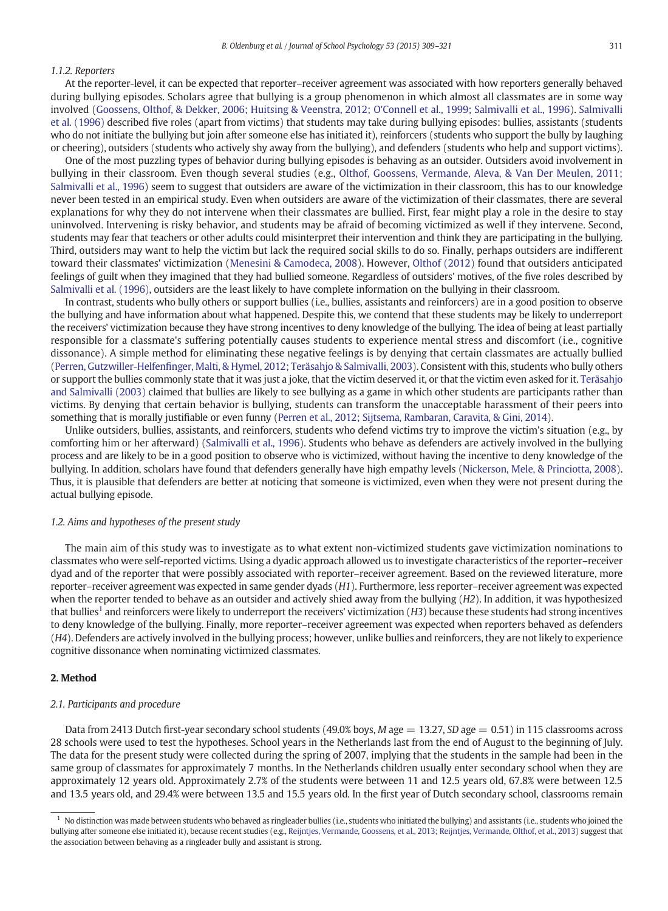#### 1.1.2. Reporters

At the reporter-level, it can be expected that reporter–receiver agreement was associated with how reporters generally behaved during bullying episodes. Scholars agree that bullying is a group phenomenon in which almost all classmates are in some way involved [\(Goossens, Olthof, & Dekker, 2006; Huitsing & Veenstra, 2012; O'Connell et al., 1999; Salmivalli et al., 1996](#page-12-0)). [Salmivalli](#page-12-0) [et al. \(1996\)](#page-12-0) described five roles (apart from victims) that students may take during bullying episodes: bullies, assistants (students who do not initiate the bullying but join after someone else has initiated it), reinforcers (students who support the bully by laughing or cheering), outsiders (students who actively shy away from the bullying), and defenders (students who help and support victims).

One of the most puzzling types of behavior during bullying episodes is behaving as an outsider. Outsiders avoid involvement in bullying in their classroom. Even though several studies (e.g., [Olthof, Goossens, Vermande, Aleva, & Van Der Meulen, 2011;](#page-12-0) [Salmivalli et al., 1996\)](#page-12-0) seem to suggest that outsiders are aware of the victimization in their classroom, this has to our knowledge never been tested in an empirical study. Even when outsiders are aware of the victimization of their classmates, there are several explanations for why they do not intervene when their classmates are bullied. First, fear might play a role in the desire to stay uninvolved. Intervening is risky behavior, and students may be afraid of becoming victimized as well if they intervene. Second, students may fear that teachers or other adults could misinterpret their intervention and think they are participating in the bullying. Third, outsiders may want to help the victim but lack the required social skills to do so. Finally, perhaps outsiders are indifferent toward their classmates' victimization [\(Menesini & Camodeca, 2008](#page-12-0)). However, [Olthof \(2012\)](#page-12-0) found that outsiders anticipated feelings of guilt when they imagined that they had bullied someone. Regardless of outsiders' motives, of the five roles described by [Salmivalli et al. \(1996\)](#page-12-0), outsiders are the least likely to have complete information on the bullying in their classroom.

In contrast, students who bully others or support bullies (i.e., bullies, assistants and reinforcers) are in a good position to observe the bullying and have information about what happened. Despite this, we contend that these students may be likely to underreport the receivers' victimization because they have strong incentives to deny knowledge of the bullying. The idea of being at least partially responsible for a classmate's suffering potentially causes students to experience mental stress and discomfort (i.e., cognitive dissonance). A simple method for eliminating these negative feelings is by denying that certain classmates are actually bullied (Perren, Gutzwiller-Helfenfi[nger, Malti, & Hymel, 2012; Teräsahjo & Salmivalli, 2003\)](#page-12-0). Consistent with this, students who bully others or support the bullies commonly state that it was just a joke, that the victim deserved it, or that the victim even asked for it. [Teräsahjo](#page-12-0) [and Salmivalli \(2003\)](#page-12-0) claimed that bullies are likely to see bullying as a game in which other students are participants rather than victims. By denying that certain behavior is bullying, students can transform the unacceptable harassment of their peers into something that is morally justifiable or even funny ([Perren et al., 2012; Sijtsema, Rambaran, Caravita, & Gini, 2014\)](#page-12-0).

Unlike outsiders, bullies, assistants, and reinforcers, students who defend victims try to improve the victim's situation (e.g., by comforting him or her afterward) ([Salmivalli et al., 1996](#page-12-0)). Students who behave as defenders are actively involved in the bullying process and are likely to be in a good position to observe who is victimized, without having the incentive to deny knowledge of the bullying. In addition, scholars have found that defenders generally have high empathy levels [\(Nickerson, Mele, & Princiotta, 2008](#page-12-0)). Thus, it is plausible that defenders are better at noticing that someone is victimized, even when they were not present during the actual bullying episode.

#### 1.2. Aims and hypotheses of the present study

The main aim of this study was to investigate as to what extent non-victimized students gave victimization nominations to classmates who were self-reported victims. Using a dyadic approach allowed us to investigate characteristics of the reporter–receiver dyad and of the reporter that were possibly associated with reporter–receiver agreement. Based on the reviewed literature, more reporter–receiver agreement was expected in same gender dyads (H1). Furthermore, less reporter–receiver agreement was expected when the reporter tended to behave as an outsider and actively shied away from the bullying (H2). In addition, it was hypothesized that bullies<sup>1</sup> and reinforcers were likely to underreport the receivers' victimization  $(H3)$  because these students had strong incentives to deny knowledge of the bullying. Finally, more reporter–receiver agreement was expected when reporters behaved as defenders (H4). Defenders are actively involved in the bullying process; however, unlike bullies and reinforcers, they are not likely to experience cognitive dissonance when nominating victimized classmates.

### 2. Method

#### 2.1. Participants and procedure

Data from 2413 Dutch first-year secondary school students (49.0% boys, M age = 13.27, SD age = 0.51) in 115 classrooms across 28 schools were used to test the hypotheses. School years in the Netherlands last from the end of August to the beginning of July. The data for the present study were collected during the spring of 2007, implying that the students in the sample had been in the same group of classmates for approximately 7 months. In the Netherlands children usually enter secondary school when they are approximately 12 years old. Approximately 2.7% of the students were between 11 and 12.5 years old, 67.8% were between 12.5 and 13.5 years old, and 29.4% were between 13.5 and 15.5 years old. In the first year of Dutch secondary school, classrooms remain

 $<sup>1</sup>$  No distinction was made between students who behaved as ringleader bullies (i.e., students who initiated the bullying) and assistants (i.e., students who ioined the</sup> bullying after someone else initiated it), because recent studies (e.g., [Reijntjes, Vermande, Goossens, et al., 2013; Reijntjes, Vermande, Olthof, et al., 2013\)](#page-12-0) suggest that the association between behaving as a ringleader bully and assistant is strong.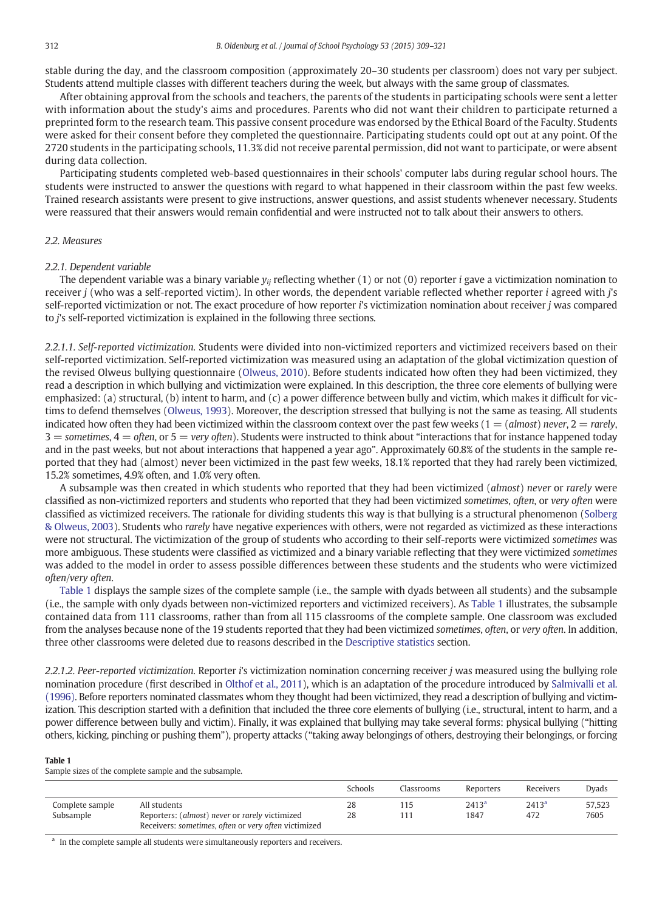stable during the day, and the classroom composition (approximately 20–30 students per classroom) does not vary per subject. Students attend multiple classes with different teachers during the week, but always with the same group of classmates.

After obtaining approval from the schools and teachers, the parents of the students in participating schools were sent a letter with information about the study's aims and procedures. Parents who did not want their children to participate returned a preprinted form to the research team. This passive consent procedure was endorsed by the Ethical Board of the Faculty. Students were asked for their consent before they completed the questionnaire. Participating students could opt out at any point. Of the 2720 students in the participating schools, 11.3% did not receive parental permission, did not want to participate, or were absent during data collection.

Participating students completed web-based questionnaires in their schools' computer labs during regular school hours. The students were instructed to answer the questions with regard to what happened in their classroom within the past few weeks. Trained research assistants were present to give instructions, answer questions, and assist students whenever necessary. Students were reassured that their answers would remain confidential and were instructed not to talk about their answers to others.

#### 2.2. Measures

#### 2.2.1. Dependent variable

The dependent variable was a binary variable  $y_{ii}$  reflecting whether (1) or not (0) reporter *i* gave a victimization nomination to receiver  $j$  (who was a self-reported victim). In other words, the dependent variable reflected whether reporter  $i$  agreed with  $j$ 's self-reported victimization or not. The exact procedure of how reporter i's victimization nomination about receiver j was compared to j's self-reported victimization is explained in the following three sections.

2.2.1.1. Self-reported victimization. Students were divided into non-victimized reporters and victimized receivers based on their self-reported victimization. Self-reported victimization was measured using an adaptation of the global victimization question of the revised Olweus bullying questionnaire ([Olweus, 2010](#page-12-0)). Before students indicated how often they had been victimized, they read a description in which bullying and victimization were explained. In this description, the three core elements of bullying were emphasized: (a) structural, (b) intent to harm, and (c) a power difference between bully and victim, which makes it difficult for victims to defend themselves ([Olweus, 1993\)](#page-12-0). Moreover, the description stressed that bullying is not the same as teasing. All students indicated how often they had been victimized within the classroom context over the past few weeks ( $1 = (almost)$  never,  $2 = rarely$ ,  $3 =$  sometimes,  $4 =$  often, or  $5 =$  very often). Students were instructed to think about "interactions that for instance happened today and in the past weeks, but not about interactions that happened a year ago". Approximately 60.8% of the students in the sample reported that they had (almost) never been victimized in the past few weeks, 18.1% reported that they had rarely been victimized, 15.2% sometimes, 4.9% often, and 1.0% very often.

A subsample was then created in which students who reported that they had been victimized (almost) never or rarely were classified as non-victimized reporters and students who reported that they had been victimized sometimes, often, or very often were classified as victimized receivers. The rationale for dividing students this way is that bullying is a structural phenomenon [\(Solberg](#page-12-0) [& Olweus, 2003\)](#page-12-0). Students who rarely have negative experiences with others, were not regarded as victimized as these interactions were not structural. The victimization of the group of students who according to their self-reports were victimized sometimes was more ambiguous. These students were classified as victimized and a binary variable reflecting that they were victimized sometimes was added to the model in order to assess possible differences between these students and the students who were victimized often/very often.

Table 1 displays the sample sizes of the complete sample (i.e., the sample with dyads between all students) and the subsample (i.e., the sample with only dyads between non-victimized reporters and victimized receivers). As Table 1 illustrates, the subsample contained data from 111 classrooms, rather than from all 115 classrooms of the complete sample. One classroom was excluded from the analyses because none of the 19 students reported that they had been victimized sometimes, often, or very often. In addition, three other classrooms were deleted due to reasons described in the [Descriptive statistics](#page-5-0) section.

2.2.1.2. Peer-reported victimization. Reporter i's victimization nomination concerning receiver *i* was measured using the bullying role nomination procedure (first described in [Olthof et al., 2011\)](#page-12-0), which is an adaptation of the procedure introduced by [Salmivalli et al.](#page-12-0) [\(1996\).](#page-12-0) Before reporters nominated classmates whom they thought had been victimized, they read a description of bullying and victimization. This description started with a definition that included the three core elements of bullying (i.e., structural, intent to harm, and a power difference between bully and victim). Finally, it was explained that bullying may take several forms: physical bullying ("hitting others, kicking, pinching or pushing them"), property attacks ("taking away belongings of others, destroying their belongings, or forcing

#### Table 1

Sample sizes of the complete sample and the subsample.

|                              |                                                                                                                        | Schools  | Classrooms | Reporters        | Receivers                | Dvads          |
|------------------------------|------------------------------------------------------------------------------------------------------------------------|----------|------------|------------------|--------------------------|----------------|
| Complete sample<br>Subsample | All students<br>Reporters: (almost) never or rarely victimized<br>Receivers: sometimes, often or very often victimized | 28<br>28 | -15        | $2413^a$<br>1847 | 2413 <sup>a</sup><br>472 | 57.523<br>7605 |

<sup>a</sup> In the complete sample all students were simultaneously reporters and receivers.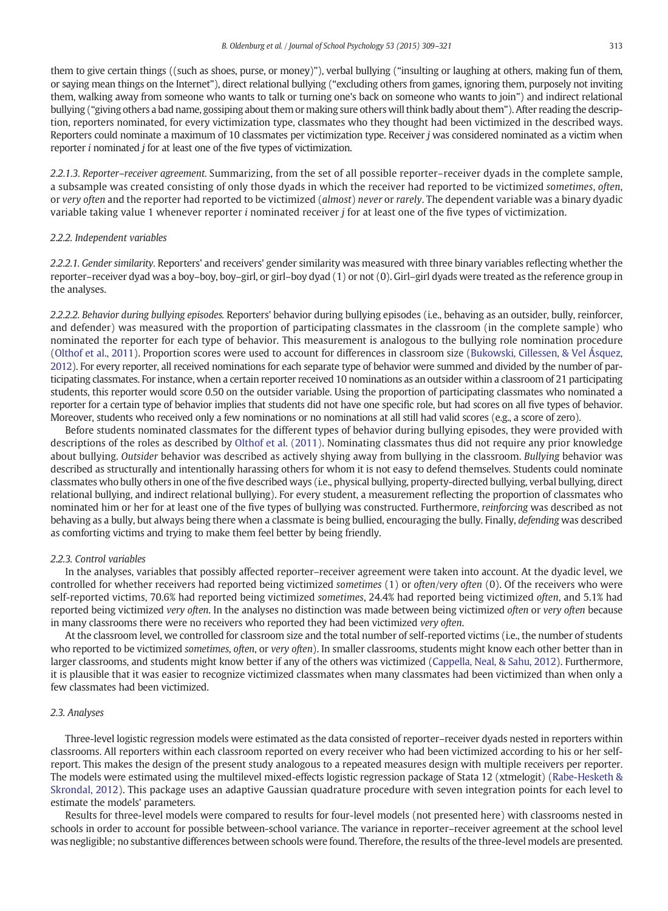them to give certain things ((such as shoes, purse, or money)"), verbal bullying ("insulting or laughing at others, making fun of them, or saying mean things on the Internet"), direct relational bullying ("excluding others from games, ignoring them, purposely not inviting them, walking away from someone who wants to talk or turning one's back on someone who wants to join") and indirect relational bullying ("giving others a bad name, gossiping about them or making sure others will think badly about them"). After reading the description, reporters nominated, for every victimization type, classmates who they thought had been victimized in the described ways. Reporters could nominate a maximum of 10 classmates per victimization type. Receiver j was considered nominated as a victim when reporter i nominated j for at least one of the five types of victimization.

2.2.1.3. Reporter–receiver agreement. Summarizing, from the set of all possible reporter–receiver dyads in the complete sample, a subsample was created consisting of only those dyads in which the receiver had reported to be victimized sometimes, often, or very often and the reporter had reported to be victimized (almost) never or rarely. The dependent variable was a binary dyadic variable taking value 1 whenever reporter *i* nominated receiver *j* for at least one of the five types of victimization.

#### 2.2.2. Independent variables

2.2.2.1. Gender similarity. Reporters' and receivers' gender similarity was measured with three binary variables reflecting whether the reporter–receiver dyad was a boy–boy, boy–girl, or girl–boy dyad (1) or not (0). Girl–girl dyads were treated as the reference group in the analyses.

2.2.2.2. Behavior during bullying episodes. Reporters' behavior during bullying episodes (i.e., behaving as an outsider, bully, reinforcer, and defender) was measured with the proportion of participating classmates in the classroom (in the complete sample) who nominated the reporter for each type of behavior. This measurement is analogous to the bullying role nomination procedure ([Olthof et al., 2011](#page-12-0)). Proportion scores were used to account for differences in classroom size ([Bukowski, Cillessen, & Vel Ásquez,](#page-11-0) [2012\)](#page-11-0). For every reporter, all received nominations for each separate type of behavior were summed and divided by the number of participating classmates. For instance, when a certain reporter received 10 nominations as an outsider within a classroom of 21 participating students, this reporter would score 0.50 on the outsider variable. Using the proportion of participating classmates who nominated a reporter for a certain type of behavior implies that students did not have one specific role, but had scores on all five types of behavior. Moreover, students who received only a few nominations or no nominations at all still had valid scores (e.g., a score of zero).

Before students nominated classmates for the different types of behavior during bullying episodes, they were provided with descriptions of the roles as described by [Olthof et al. \(2011\).](#page-12-0) Nominating classmates thus did not require any prior knowledge about bullying. Outsider behavior was described as actively shying away from bullying in the classroom. Bullying behavior was described as structurally and intentionally harassing others for whom it is not easy to defend themselves. Students could nominate classmates who bully others in one of the five described ways (i.e., physical bullying, property-directed bullying, verbal bullying, direct relational bullying, and indirect relational bullying). For every student, a measurement reflecting the proportion of classmates who nominated him or her for at least one of the five types of bullying was constructed. Furthermore, reinforcing was described as not behaving as a bully, but always being there when a classmate is being bullied, encouraging the bully. Finally, defending was described as comforting victims and trying to make them feel better by being friendly.

#### 2.2.3. Control variables

In the analyses, variables that possibly affected reporter–receiver agreement were taken into account. At the dyadic level, we controlled for whether receivers had reported being victimized sometimes (1) or often/very often (0). Of the receivers who were self-reported victims, 70.6% had reported being victimized sometimes, 24.4% had reported being victimized often, and 5.1% had reported being victimized very often. In the analyses no distinction was made between being victimized often or very often because in many classrooms there were no receivers who reported they had been victimized very often.

At the classroom level, we controlled for classroom size and the total number of self-reported victims (i.e., the number of students who reported to be victimized sometimes, often, or very often). In smaller classrooms, students might know each other better than in larger classrooms, and students might know better if any of the others was victimized [\(Cappella, Neal, & Sahu, 2012](#page-11-0)). Furthermore, it is plausible that it was easier to recognize victimized classmates when many classmates had been victimized than when only a few classmates had been victimized.

#### 2.3. Analyses

Three-level logistic regression models were estimated as the data consisted of reporter–receiver dyads nested in reporters within classrooms. All reporters within each classroom reported on every receiver who had been victimized according to his or her selfreport. This makes the design of the present study analogous to a repeated measures design with multiple receivers per reporter. The models were estimated using the multilevel mixed-effects logistic regression package of Stata 12 (xtmelogit) [\(Rabe-Hesketh &](#page-12-0) [Skrondal, 2012](#page-12-0)). This package uses an adaptive Gaussian quadrature procedure with seven integration points for each level to estimate the models' parameters.

Results for three-level models were compared to results for four-level models (not presented here) with classrooms nested in schools in order to account for possible between-school variance. The variance in reporter–receiver agreement at the school level was negligible; no substantive differences between schools were found. Therefore, the results of the three-level models are presented.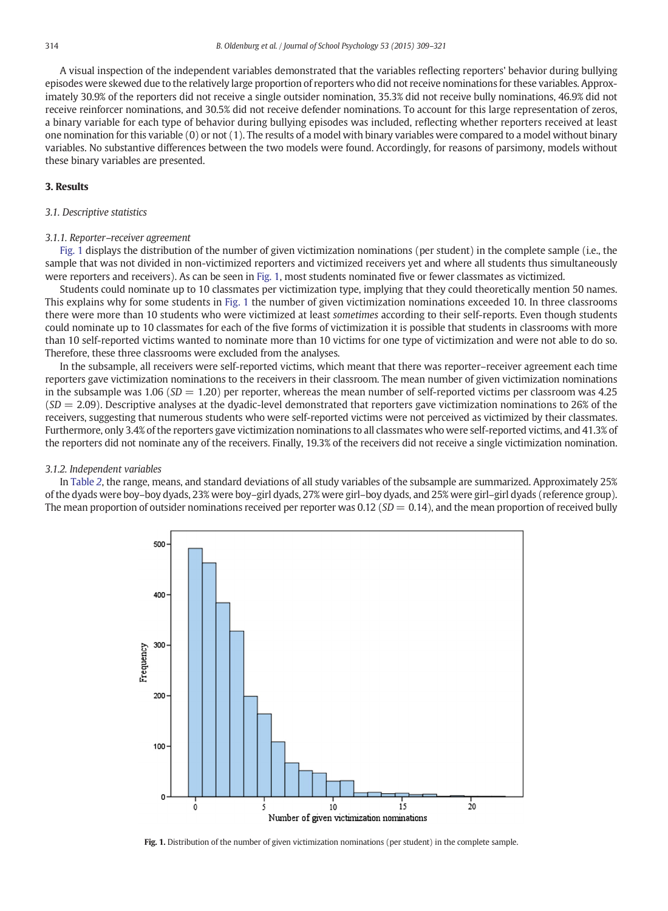<span id="page-5-0"></span>A visual inspection of the independent variables demonstrated that the variables reflecting reporters' behavior during bullying episodes were skewed due to the relatively large proportion of reporters who did not receive nominations for these variables. Approximately 30.9% of the reporters did not receive a single outsider nomination, 35.3% did not receive bully nominations, 46.9% did not receive reinforcer nominations, and 30.5% did not receive defender nominations. To account for this large representation of zeros, a binary variable for each type of behavior during bullying episodes was included, reflecting whether reporters received at least one nomination for this variable (0) or not (1). The results of a model with binary variables were compared to a model without binary variables. No substantive differences between the two models were found. Accordingly, for reasons of parsimony, models without these binary variables are presented.

#### 3. Results

#### 3.1. Descriptive statistics

#### 3.1.1. Reporter–receiver agreement

Fig. 1 displays the distribution of the number of given victimization nominations (per student) in the complete sample (i.e., the sample that was not divided in non-victimized reporters and victimized receivers yet and where all students thus simultaneously were reporters and receivers). As can be seen in Fig. 1, most students nominated five or fewer classmates as victimized.

Students could nominate up to 10 classmates per victimization type, implying that they could theoretically mention 50 names. This explains why for some students in Fig. 1 the number of given victimization nominations exceeded 10. In three classrooms there were more than 10 students who were victimized at least sometimes according to their self-reports. Even though students could nominate up to 10 classmates for each of the five forms of victimization it is possible that students in classrooms with more than 10 self-reported victims wanted to nominate more than 10 victims for one type of victimization and were not able to do so. Therefore, these three classrooms were excluded from the analyses.

In the subsample, all receivers were self-reported victims, which meant that there was reporter–receiver agreement each time reporters gave victimization nominations to the receivers in their classroom. The mean number of given victimization nominations in the subsample was  $1.06$  ( $SD = 1.20$ ) per reporter, whereas the mean number of self-reported victims per classroom was 4.25  $(SD = 2.09)$ . Descriptive analyses at the dyadic-level demonstrated that reporters gave victimization nominations to 26% of the receivers, suggesting that numerous students who were self-reported victims were not perceived as victimized by their classmates. Furthermore, only 3.4% of the reporters gave victimization nominations to all classmates who were self-reported victims, and 41.3% of the reporters did not nominate any of the receivers. Finally, 19.3% of the receivers did not receive a single victimization nomination.

#### 3.1.2. Independent variables

In [Table](#page-6-0) 2, the range, means, and standard deviations of all study variables of the subsample are summarized. Approximately 25% of the dyads were boy–boy dyads, 23% were boy–girl dyads, 27% were girl–boy dyads, and 25% were girl–girl dyads (reference group). The mean proportion of outsider nominations received per reporter was 0.12 ( $SD = 0.14$ ), and the mean proportion of received bully



Fig. 1. Distribution of the number of given victimization nominations (per student) in the complete sample.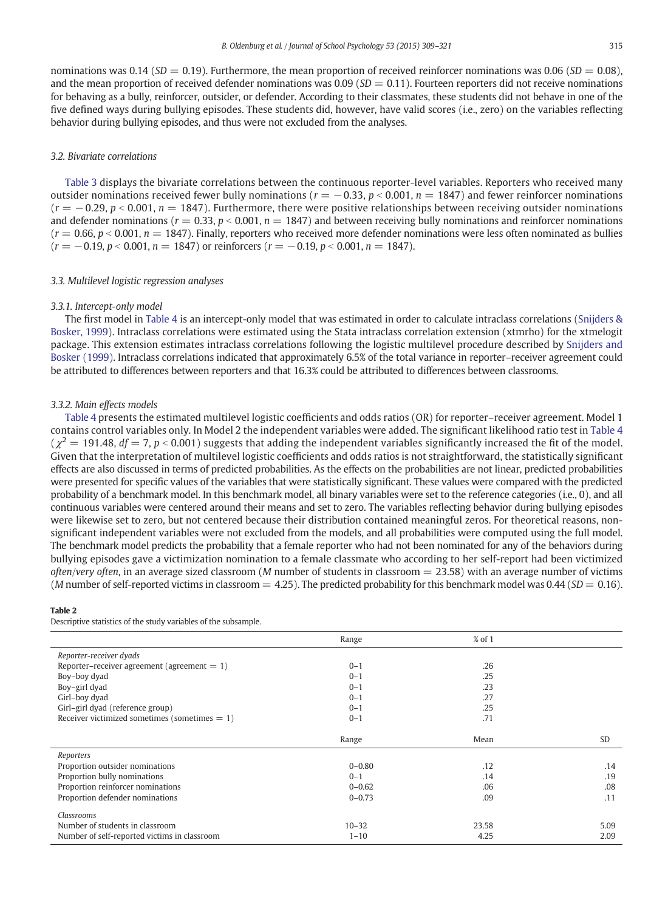<span id="page-6-0"></span>nominations was 0.14 ( $SD = 0.19$ ). Furthermore, the mean proportion of received reinforcer nominations was 0.06 ( $SD = 0.08$ ), and the mean proportion of received defender nominations was  $0.09$  ( $SD = 0.11$ ). Fourteen reporters did not receive nominations for behaving as a bully, reinforcer, outsider, or defender. According to their classmates, these students did not behave in one of the five defined ways during bullying episodes. These students did, however, have valid scores (i.e., zero) on the variables reflecting behavior during bullying episodes, and thus were not excluded from the analyses.

#### 3.2. Bivariate correlations

[Table 3](#page-7-0) displays the bivariate correlations between the continuous reporter-level variables. Reporters who received many outsider nominations received fewer bully nominations ( $r = -0.33$ ,  $p < 0.001$ ,  $n = 1847$ ) and fewer reinforcer nominations  $(r = -0.29, p < 0.001, n = 1847)$ . Furthermore, there were positive relationships between receiving outsider nominations and defender nominations ( $r = 0.33$ ,  $p < 0.001$ ,  $n = 1847$ ) and between receiving bully nominations and reinforcer nominations  $(r = 0.66, p < 0.001, n = 1847)$ . Finally, reporters who received more defender nominations were less often nominated as bullies  $(r = -0.19, p < 0.001, n = 1847)$  or reinforcers  $(r = -0.19, p < 0.001, n = 1847)$ .

#### 3.3. Multilevel logistic regression analyses

#### 3.3.1. Intercept-only model

The first model in [Table 4](#page-8-0) is an intercept-only model that was estimated in order to calculate intraclass correlations [\(Snijders &](#page-12-0) [Bosker, 1999\)](#page-12-0). Intraclass correlations were estimated using the Stata intraclass correlation extension (xtmrho) for the xtmelogit package. This extension estimates intraclass correlations following the logistic multilevel procedure described by [Snijders and](#page-12-0) [Bosker \(1999\)](#page-12-0). Intraclass correlations indicated that approximately 6.5% of the total variance in reporter–receiver agreement could be attributed to differences between reporters and that 16.3% could be attributed to differences between classrooms.

#### 3.3.2. Main effects models

[Table 4](#page-8-0) presents the estimated multilevel logistic coefficients and odds ratios (OR) for reporter–receiver agreement. Model 1 contains control variables only. In Model 2 the independent variables were added. The significant likelihood ratio test in [Table 4](#page-8-0)  $(\chi^2 = 191.48, df = 7, p < 0.001)$  suggests that adding the independent variables significantly increased the fit of the model. Given that the interpretation of multilevel logistic coefficients and odds ratios is not straightforward, the statistically significant effects are also discussed in terms of predicted probabilities. As the effects on the probabilities are not linear, predicted probabilities were presented for specific values of the variables that were statistically significant. These values were compared with the predicted probability of a benchmark model. In this benchmark model, all binary variables were set to the reference categories (i.e., 0), and all continuous variables were centered around their means and set to zero. The variables reflecting behavior during bullying episodes were likewise set to zero, but not centered because their distribution contained meaningful zeros. For theoretical reasons, nonsignificant independent variables were not excluded from the models, and all probabilities were computed using the full model. The benchmark model predicts the probability that a female reporter who had not been nominated for any of the behaviors during bullying episodes gave a victimization nomination to a female classmate who according to her self-report had been victimized often/very often, in an average sized classroom (M number of students in classroom  $=$  23.58) with an average number of victims (*M* number of self-reported victims in classroom  $= 4.25$ ). The predicted probability for this benchmark model was 0.44 (*SD* = 0.16).

#### Table 2

Descriptive statistics of the study variables of the subsample.

|                                                  | Range      | $%$ of 1 |           |
|--------------------------------------------------|------------|----------|-----------|
| Reporter-receiver dyads                          |            |          |           |
| Reporter–receiver agreement (agreement $= 1$ )   | $0 - 1$    | .26      |           |
| Boy-boy dyad                                     | $0 - 1$    | .25      |           |
| Boy-girl dyad                                    | $0 - 1$    | .23      |           |
| Girl-boy dyad                                    | $0 - 1$    | .27      |           |
| Girl-girl dyad (reference group)                 | $0 - 1$    | .25      |           |
| Receiver victimized sometimes (sometimes $= 1$ ) | $0 - 1$    | .71      |           |
|                                                  | Range      | Mean     | <b>SD</b> |
| Reporters                                        |            |          |           |
| Proportion outsider nominations                  | $0 - 0.80$ | .12      | .14       |
| Proportion bully nominations                     | $0 - 1$    | .14      | .19       |
| Proportion reinforcer nominations                | $0 - 0.62$ | .06      | .08       |
| Proportion defender nominations                  | $0 - 0.73$ | .09      | .11       |
| Classrooms                                       |            |          |           |
| Number of students in classroom                  | $10 - 32$  | 23.58    | 5.09      |
| Number of self-reported victims in classroom     | $1 - 10$   | 4.25     | 2.09      |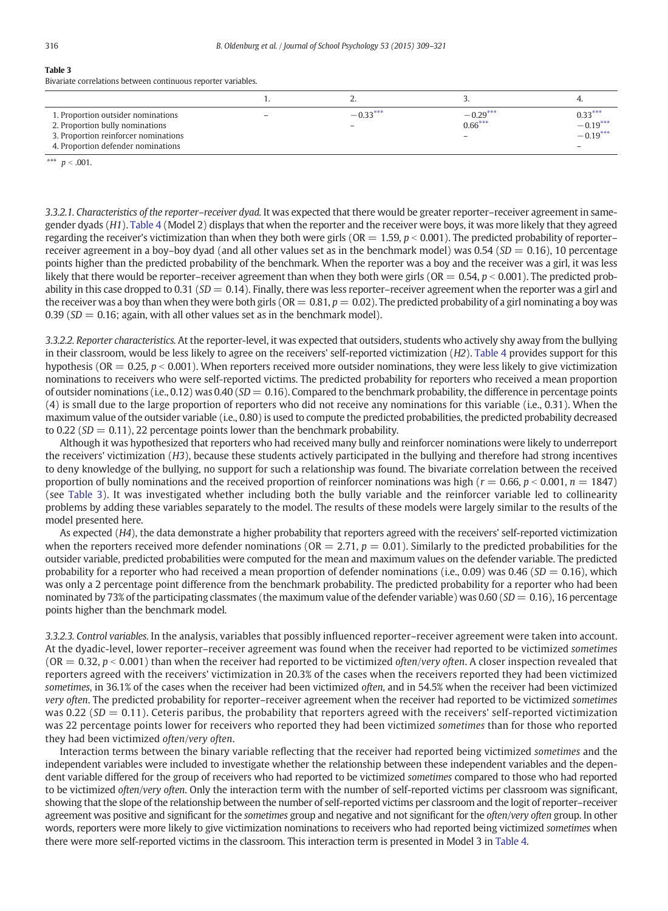#### <span id="page-7-0"></span>Table 3

Bivariate correlations between continuous reporter variables.

|                                                                                                                                                     | . .        |                         | 4                                                                        |
|-----------------------------------------------------------------------------------------------------------------------------------------------------|------------|-------------------------|--------------------------------------------------------------------------|
| 1. Proportion outsider nominations<br>2. Proportion bully nominations<br>3. Proportion reinforcer nominations<br>4. Proportion defender nominations | $-0.33***$ | $-0.29***$<br>$0.66***$ | $0.33***$<br>$-0.19***$<br>$-0.19***$<br>$\hspace{0.1mm}-\hspace{0.1mm}$ |

#### \*\*\*  $p < .001$ .

3.3.2.1. Characteristics of the reporter–receiver dyad. It was expected that there would be greater reporter–receiver agreement in samegender dyads (H1). [Table 4](#page-8-0) (Model 2) displays that when the reporter and the receiver were boys, it was more likely that they agreed regarding the receiver's victimization than when they both were girls (OR = 1.59,  $p < 0.001$ ). The predicted probability of reporterreceiver agreement in a boy–boy dyad (and all other values set as in the benchmark model) was 0.54 ( $SD = 0.16$ ), 10 percentage points higher than the predicted probability of the benchmark. When the reporter was a boy and the receiver was a girl, it was less likely that there would be reporter–receiver agreement than when they both were girls ( $OR = 0.54$ ,  $p < 0.001$ ). The predicted probability in this case dropped to 0.31 ( $SD = 0.14$ ). Finally, there was less reporter–receiver agreement when the reporter was a girl and the receiver was a boy than when they were both girls ( $OR = 0.81$ ,  $p = 0.02$ ). The predicted probability of a girl nominating a boy was 0.39 ( $SD = 0.16$ ; again, with all other values set as in the benchmark model).

3.3.2.2. Reporter characteristics. At the reporter-level, it was expected that outsiders, students who actively shy away from the bullying in their classroom, would be less likely to agree on the receivers' self-reported victimization (H2). [Table 4](#page-8-0) provides support for this hypothesis (OR  $= 0.25$ ,  $p < 0.001$ ). When reporters received more outsider nominations, they were less likely to give victimization nominations to receivers who were self-reported victims. The predicted probability for reporters who received a mean proportion of outsider nominations (i.e., 0.12) was 0.40 ( $SD = 0.16$ ). Compared to the benchmark probability, the difference in percentage points (4) is small due to the large proportion of reporters who did not receive any nominations for this variable (i.e., 0.31). When the maximum value of the outsider variable (i.e., 0.80) is used to compute the predicted probabilities, the predicted probability decreased to 0.22 ( $SD = 0.11$ ), 22 percentage points lower than the benchmark probability.

Although it was hypothesized that reporters who had received many bully and reinforcer nominations were likely to underreport the receivers' victimization (H3), because these students actively participated in the bullying and therefore had strong incentives to deny knowledge of the bullying, no support for such a relationship was found. The bivariate correlation between the received proportion of bully nominations and the received proportion of reinforcer nominations was high ( $r = 0.66$ ,  $p < 0.001$ ,  $n = 1847$ ) (see Table 3). It was investigated whether including both the bully variable and the reinforcer variable led to collinearity problems by adding these variables separately to the model. The results of these models were largely similar to the results of the model presented here.

As expected (H4), the data demonstrate a higher probability that reporters agreed with the receivers' self-reported victimization when the reporters received more defender nominations (OR  $= 2.71$ ,  $p = 0.01$ ). Similarly to the predicted probabilities for the outsider variable, predicted probabilities were computed for the mean and maximum values on the defender variable. The predicted probability for a reporter who had received a mean proportion of defender nominations (i.e., 0.09) was 0.46 ( $SD = 0.16$ ), which was only a 2 percentage point difference from the benchmark probability. The predicted probability for a reporter who had been nominated by 73% of the participating classmates (the maximum value of the defender variable) was 0.60 ( $SD = 0.16$ ), 16 percentage points higher than the benchmark model.

3.3.2.3. Control variables. In the analysis, variables that possibly influenced reporter–receiver agreement were taken into account. At the dyadic-level, lower reporter–receiver agreement was found when the receiver had reported to be victimized sometimes  $(OR = 0.32, p < 0.001)$  than when the receiver had reported to be victimized often/very often. A closer inspection revealed that reporters agreed with the receivers' victimization in 20.3% of the cases when the receivers reported they had been victimized sometimes, in 36.1% of the cases when the receiver had been victimized often, and in 54.5% when the receiver had been victimized very often. The predicted probability for reporter–receiver agreement when the receiver had reported to be victimized sometimes was 0.22 ( $SD = 0.11$ ). Ceteris paribus, the probability that reporters agreed with the receivers' self-reported victimization was 22 percentage points lower for receivers who reported they had been victimized sometimes than for those who reported they had been victimized often/very often.

Interaction terms between the binary variable reflecting that the receiver had reported being victimized sometimes and the independent variables were included to investigate whether the relationship between these independent variables and the dependent variable differed for the group of receivers who had reported to be victimized sometimes compared to those who had reported to be victimized often/very often. Only the interaction term with the number of self-reported victims per classroom was significant. showing that the slope of the relationship between the number of self-reported victims per classroom and the logit of reporter–receiver agreement was positive and significant for the sometimes group and negative and not significant for the *often/very often group*. In other words, reporters were more likely to give victimization nominations to receivers who had reported being victimized sometimes when there were more self-reported victims in the classroom. This interaction term is presented in Model 3 in [Table 4](#page-8-0).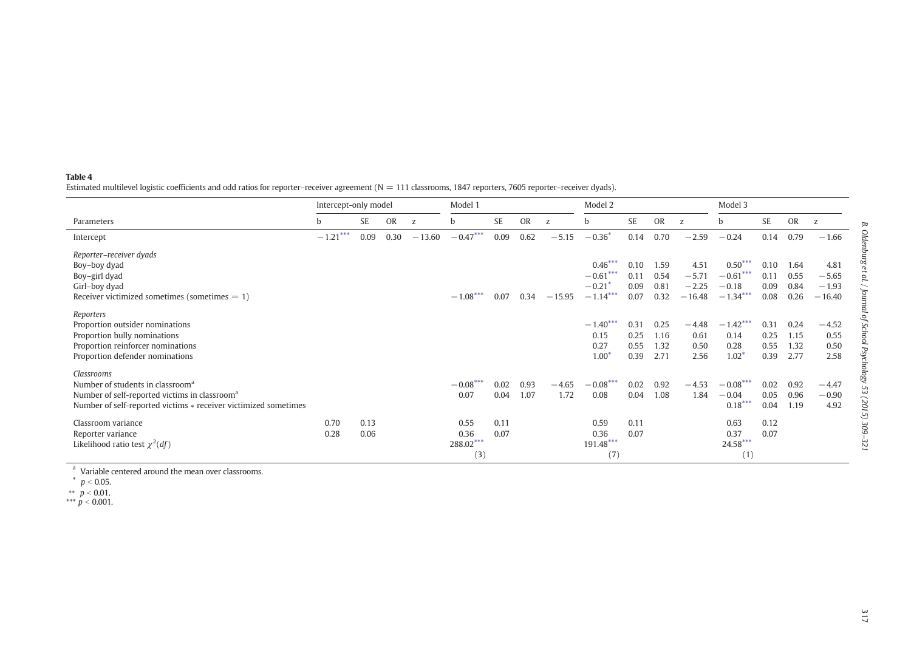#### <span id="page-8-0"></span>Table 4

#### Estimated multilevel logistic coefficients and odd ratios for reporter–receiver agreement (N <sup>=</sup> 111 classrooms, 1847 reporters, 7605 reporter–receiver dyads).

|                                                                                                                                                                                            | Intercept-only model |              |           | Model 1  |                                  |              | Model 2      |                 |                                                  |                              | Model 3                      |                                        |                                                  |                              |                              |                                        |
|--------------------------------------------------------------------------------------------------------------------------------------------------------------------------------------------|----------------------|--------------|-----------|----------|----------------------------------|--------------|--------------|-----------------|--------------------------------------------------|------------------------------|------------------------------|----------------------------------------|--------------------------------------------------|------------------------------|------------------------------|----------------------------------------|
| Parameters                                                                                                                                                                                 | D                    | <b>SE</b>    | <b>OR</b> | z        | b.                               | SE           | <b>OR</b>    | Z               | n                                                | SE                           | <b>OR</b>                    | z                                      | h                                                | SE                           | <b>OR</b>                    | Z                                      |
| Intercept                                                                                                                                                                                  | $-1.21***$           | 0.09         | 0.30      | $-13.60$ | $-0.47***$                       | 0.09         | 0.62         | $-5.15$         | $-0.36*$                                         | 0.14                         | 0.70                         | $-2.59$                                | $-0.24$                                          | 0.14                         | 0.79                         | $-1.66$                                |
| Reporter-receiver dyads<br>Boy-boy dyad<br>Boy-girl dyad<br>Girl-boy dyad<br>Receiver victimized sometimes (sometimes $= 1$ )                                                              |                      |              |           |          | $-1.08***$                       | 0.07         | 0.34         | $-15.95$        | $0.46***$<br>$-0.61***$<br>$-0.21$<br>$-1.14***$ | 0.10<br>0.11<br>0.09<br>0.07 | 1.59<br>0.54<br>0.81<br>0.32 | 4.51<br>$-5.71$<br>$-2.25$<br>$-16.48$ | $0.50***$<br>$-0.61***$<br>$-0.18$<br>$-1.34***$ | 0.10<br>0.11<br>0.09<br>0.08 | 1.64<br>0.55<br>0.84<br>0.26 | 4.81<br>$-5.65$<br>$-1.93$<br>$-16,40$ |
| Reporters<br>Proportion outsider nominations<br>Proportion bully nominations<br>Proportion reinforcer nominations<br>Proportion defender nominations                                       |                      |              |           |          |                                  |              |              |                 | $-1.40***$<br>0.15<br>0.27<br>$1.00^*$           | 0.31<br>0.25<br>0.55<br>0.39 | 0.25<br>1.16<br>1.32<br>2.71 | $-4.48$<br>0.61<br>0.50<br>2.56        | $-1.42***$<br>0.14<br>0.28<br>1.02               | 0.31<br>0.25<br>0.55<br>0.39 | 0.24<br>1.15<br>1.32<br>2.77 | $-4.52$<br>0.55<br>0.50<br>2.58        |
| Classrooms<br>Number of students in classroom <sup>a</sup><br>Number of self-reported victims in classroom <sup>a</sup><br>Number of self-reported victims * receiver victimized sometimes |                      |              |           |          | $-0.08$<br>0.07                  | 0.02<br>0.04 | 0.93<br>1.07 | $-4.65$<br>1.72 | $-0.08***$<br>0.08                               | 0.02<br>0.04                 | 0.92<br>1.08                 | $-4.53$<br>1.84                        | $-0.08***$<br>$-0.04$<br>$0.18***$               | 0.02<br>0.05<br>0.04         | 0.92<br>0.96<br>1.19         | $-4.47$<br>$-0.90$<br>4.92             |
| Classroom variance<br>Reporter variance<br>Likelihood ratio test $\chi^2(df)$                                                                                                              | 0.70<br>0.28         | 0.13<br>0.06 |           |          | 0.55<br>0.36<br>288.02***<br>(3) | 0.11<br>0.07 |              |                 | 0.59<br>0.36<br>191.48***<br>(7)                 | 0.11<br>0.07                 |                              |                                        | 0.63<br>0.37<br>24.58***<br>(1)                  | 0.12<br>0.07                 |                              |                                        |

<sup>a</sup> Variable centered around the mean over classrooms.<br>
<sup>\*</sup>  $p < 0.05$ .

\*\*  $p < 0.01$ .<br>\*\*\*  $p < 0.001$ .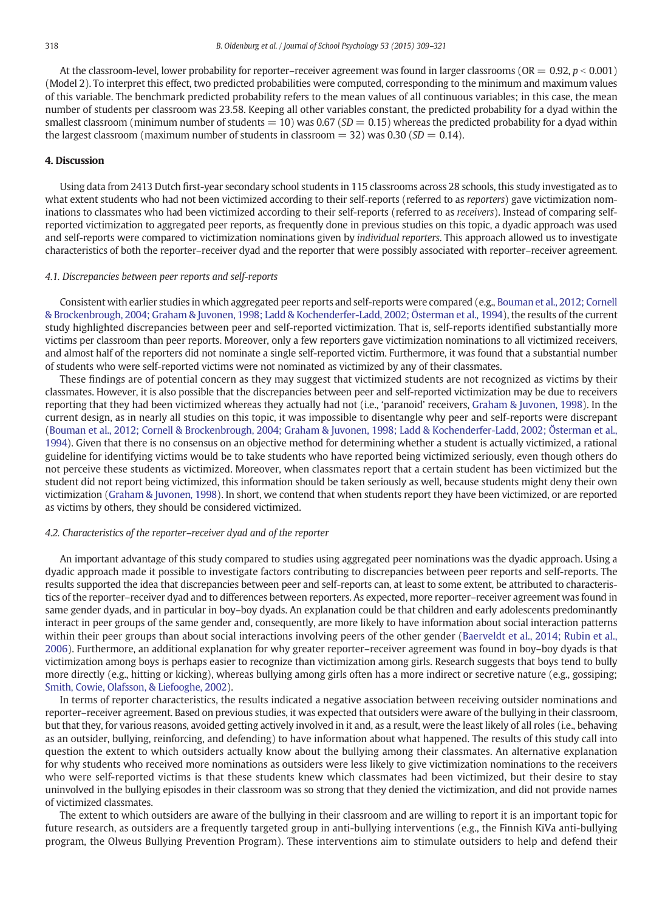At the classroom-level, lower probability for reporter–receiver agreement was found in larger classrooms ( $OR = 0.92$ ,  $p < 0.001$ ) (Model 2). To interpret this effect, two predicted probabilities were computed, corresponding to the minimum and maximum values of this variable. The benchmark predicted probability refers to the mean values of all continuous variables; in this case, the mean number of students per classroom was 23.58. Keeping all other variables constant, the predicted probability for a dyad within the smallest classroom (minimum number of students = 10) was  $0.67$  ( $SD = 0.15$ ) whereas the predicted probability for a dyad within the largest classroom (maximum number of students in classroom  $=$  32) was 0.30 (SD  $=$  0.14).

#### 4. Discussion

Using data from 2413 Dutch first-year secondary school students in 115 classrooms across 28 schools, this study investigated as to what extent students who had not been victimized according to their self-reports (referred to as reporters) gave victimization nominations to classmates who had been victimized according to their self-reports (referred to as receivers). Instead of comparing selfreported victimization to aggregated peer reports, as frequently done in previous studies on this topic, a dyadic approach was used and self-reports were compared to victimization nominations given by individual reporters. This approach allowed us to investigate characteristics of both the reporter–receiver dyad and the reporter that were possibly associated with reporter–receiver agreement.

#### 4.1. Discrepancies between peer reports and self-reports

Consistent with earlier studies in which aggregated peer reports and self-reports were compared (e.g., [Bouman et al., 2012; Cornell](#page-11-0) [& Brockenbrough, 2004; Graham & Juvonen, 1998; Ladd & Kochenderfer-Ladd, 2002; Österman et al., 1994\)](#page-11-0), the results of the current study highlighted discrepancies between peer and self-reported victimization. That is, self-reports identified substantially more victims per classroom than peer reports. Moreover, only a few reporters gave victimization nominations to all victimized receivers, and almost half of the reporters did not nominate a single self-reported victim. Furthermore, it was found that a substantial number of students who were self-reported victims were not nominated as victimized by any of their classmates.

These findings are of potential concern as they may suggest that victimized students are not recognized as victims by their classmates. However, it is also possible that the discrepancies between peer and self-reported victimization may be due to receivers reporting that they had been victimized whereas they actually had not (i.e., 'paranoid' receivers, [Graham & Juvonen, 1998\)](#page-12-0). In the current design, as in nearly all studies on this topic, it was impossible to disentangle why peer and self-reports were discrepant [\(Bouman et al., 2012; Cornell & Brockenbrough, 2004; Graham & Juvonen, 1998; Ladd & Kochenderfer-Ladd, 2002; Österman et al.,](#page-11-0) [1994\)](#page-11-0). Given that there is no consensus on an objective method for determining whether a student is actually victimized, a rational guideline for identifying victims would be to take students who have reported being victimized seriously, even though others do not perceive these students as victimized. Moreover, when classmates report that a certain student has been victimized but the student did not report being victimized, this information should be taken seriously as well, because students might deny their own victimization ([Graham & Juvonen, 1998\)](#page-12-0). In short, we contend that when students report they have been victimized, or are reported as victims by others, they should be considered victimized.

#### 4.2. Characteristics of the reporter–receiver dyad and of the reporter

An important advantage of this study compared to studies using aggregated peer nominations was the dyadic approach. Using a dyadic approach made it possible to investigate factors contributing to discrepancies between peer reports and self-reports. The results supported the idea that discrepancies between peer and self-reports can, at least to some extent, be attributed to characteristics of the reporter–receiver dyad and to differences between reporters. As expected, more reporter–receiver agreement was found in same gender dyads, and in particular in boy–boy dyads. An explanation could be that children and early adolescents predominantly interact in peer groups of the same gender and, consequently, are more likely to have information about social interaction patterns within their peer groups than about social interactions involving peers of the other gender ([Baerveldt et al., 2014; Rubin et al.,](#page-11-0) [2006](#page-11-0)). Furthermore, an additional explanation for why greater reporter–receiver agreement was found in boy–boy dyads is that victimization among boys is perhaps easier to recognize than victimization among girls. Research suggests that boys tend to bully more directly (e.g., hitting or kicking), whereas bullying among girls often has a more indirect or secretive nature (e.g., gossiping; [Smith, Cowie, Olafsson, & Liefooghe, 2002\)](#page-12-0).

In terms of reporter characteristics, the results indicated a negative association between receiving outsider nominations and reporter–receiver agreement. Based on previous studies, it was expected that outsiders were aware of the bullying in their classroom, but that they, for various reasons, avoided getting actively involved in it and, as a result, were the least likely of all roles (i.e., behaving as an outsider, bullying, reinforcing, and defending) to have information about what happened. The results of this study call into question the extent to which outsiders actually know about the bullying among their classmates. An alternative explanation for why students who received more nominations as outsiders were less likely to give victimization nominations to the receivers who were self-reported victims is that these students knew which classmates had been victimized, but their desire to stay uninvolved in the bullying episodes in their classroom was so strong that they denied the victimization, and did not provide names of victimized classmates.

The extent to which outsiders are aware of the bullying in their classroom and are willing to report it is an important topic for future research, as outsiders are a frequently targeted group in anti-bullying interventions (e.g., the Finnish KiVa anti-bullying program, the Olweus Bullying Prevention Program). These interventions aim to stimulate outsiders to help and defend their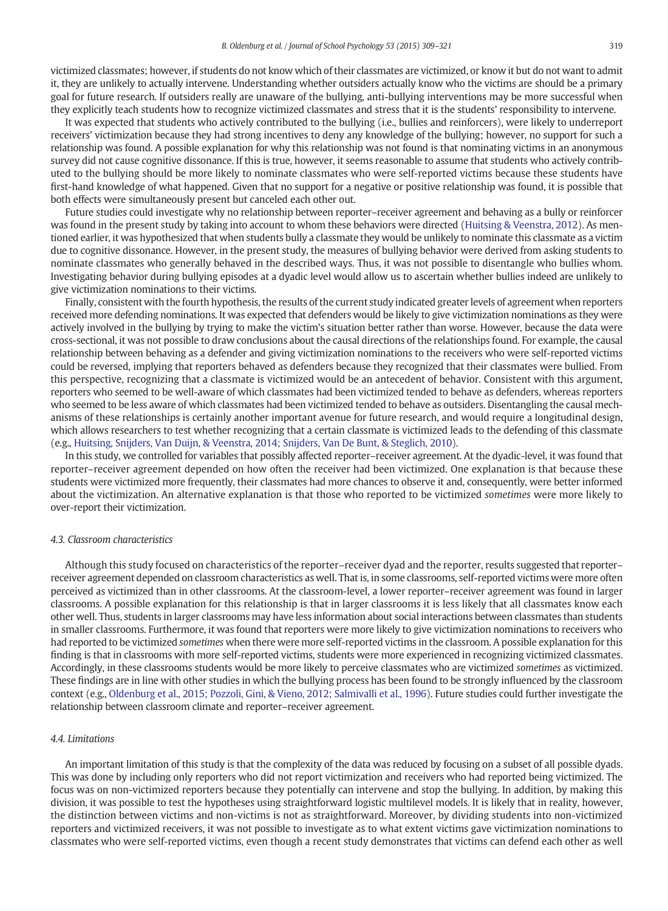victimized classmates; however, if students do not know which of their classmates are victimized, or know it but do not want to admit it, they are unlikely to actually intervene. Understanding whether outsiders actually know who the victims are should be a primary goal for future research. If outsiders really are unaware of the bullying, anti-bullying interventions may be more successful when they explicitly teach students how to recognize victimized classmates and stress that it is the students' responsibility to intervene.

It was expected that students who actively contributed to the bullying (i.e., bullies and reinforcers), were likely to underreport receivers' victimization because they had strong incentives to deny any knowledge of the bullying; however, no support for such a relationship was found. A possible explanation for why this relationship was not found is that nominating victims in an anonymous survey did not cause cognitive dissonance. If this is true, however, it seems reasonable to assume that students who actively contributed to the bullying should be more likely to nominate classmates who were self-reported victims because these students have first-hand knowledge of what happened. Given that no support for a negative or positive relationship was found, it is possible that both effects were simultaneously present but canceled each other out.

Future studies could investigate why no relationship between reporter–receiver agreement and behaving as a bully or reinforcer was found in the present study by taking into account to whom these behaviors were directed ([Huitsing & Veenstra, 2012\)](#page-12-0). As mentioned earlier, it was hypothesized that when students bully a classmate they would be unlikely to nominate this classmate as a victim due to cognitive dissonance. However, in the present study, the measures of bullying behavior were derived from asking students to nominate classmates who generally behaved in the described ways. Thus, it was not possible to disentangle who bullies whom. Investigating behavior during bullying episodes at a dyadic level would allow us to ascertain whether bullies indeed are unlikely to give victimization nominations to their victims.

Finally, consistent with the fourth hypothesis, the results of the current study indicated greater levels of agreement when reporters received more defending nominations. It was expected that defenders would be likely to give victimization nominations as they were actively involved in the bullying by trying to make the victim's situation better rather than worse. However, because the data were cross-sectional, it was not possible to draw conclusions about the causal directions of the relationships found. For example, the causal relationship between behaving as a defender and giving victimization nominations to the receivers who were self-reported victims could be reversed, implying that reporters behaved as defenders because they recognized that their classmates were bullied. From this perspective, recognizing that a classmate is victimized would be an antecedent of behavior. Consistent with this argument, reporters who seemed to be well-aware of which classmates had been victimized tended to behave as defenders, whereas reporters who seemed to be less aware of which classmates had been victimized tended to behave as outsiders. Disentangling the causal mechanisms of these relationships is certainly another important avenue for future research, and would require a longitudinal design, which allows researchers to test whether recognizing that a certain classmate is victimized leads to the defending of this classmate (e.g., [Huitsing, Snijders, Van Duijn, & Veenstra, 2014; Snijders, Van De Bunt, & Steglich, 2010](#page-12-0)).

In this study, we controlled for variables that possibly affected reporter–receiver agreement. At the dyadic-level, it was found that reporter–receiver agreement depended on how often the receiver had been victimized. One explanation is that because these students were victimized more frequently, their classmates had more chances to observe it and, consequently, were better informed about the victimization. An alternative explanation is that those who reported to be victimized sometimes were more likely to over-report their victimization.

#### 4.3. Classroom characteristics

Although this study focused on characteristics of the reporter–receiver dyad and the reporter, results suggested that reporter– receiver agreement depended on classroom characteristics as well. That is, in some classrooms, self-reported victims were more often perceived as victimized than in other classrooms. At the classroom-level, a lower reporter–receiver agreement was found in larger classrooms. A possible explanation for this relationship is that in larger classrooms it is less likely that all classmates know each other well. Thus, students in larger classrooms may have less information about social interactions between classmates than students in smaller classrooms. Furthermore, it was found that reporters were more likely to give victimization nominations to receivers who had reported to be victimized sometimes when there were more self-reported victims in the classroom. A possible explanation for this finding is that in classrooms with more self-reported victims, students were more experienced in recognizing victimized classmates. Accordingly, in these classrooms students would be more likely to perceive classmates who are victimized sometimes as victimized. These findings are in line with other studies in which the bullying process has been found to be strongly influenced by the classroom context (e.g., [Oldenburg et al., 2015; Pozzoli, Gini, & Vieno, 2012; Salmivalli et al., 1996](#page-12-0)). Future studies could further investigate the relationship between classroom climate and reporter–receiver agreement.

#### 4.4. Limitations

An important limitation of this study is that the complexity of the data was reduced by focusing on a subset of all possible dyads. This was done by including only reporters who did not report victimization and receivers who had reported being victimized. The focus was on non-victimized reporters because they potentially can intervene and stop the bullying. In addition, by making this division, it was possible to test the hypotheses using straightforward logistic multilevel models. It is likely that in reality, however, the distinction between victims and non-victims is not as straightforward. Moreover, by dividing students into non-victimized reporters and victimized receivers, it was not possible to investigate as to what extent victims gave victimization nominations to classmates who were self-reported victims, even though a recent study demonstrates that victims can defend each other as well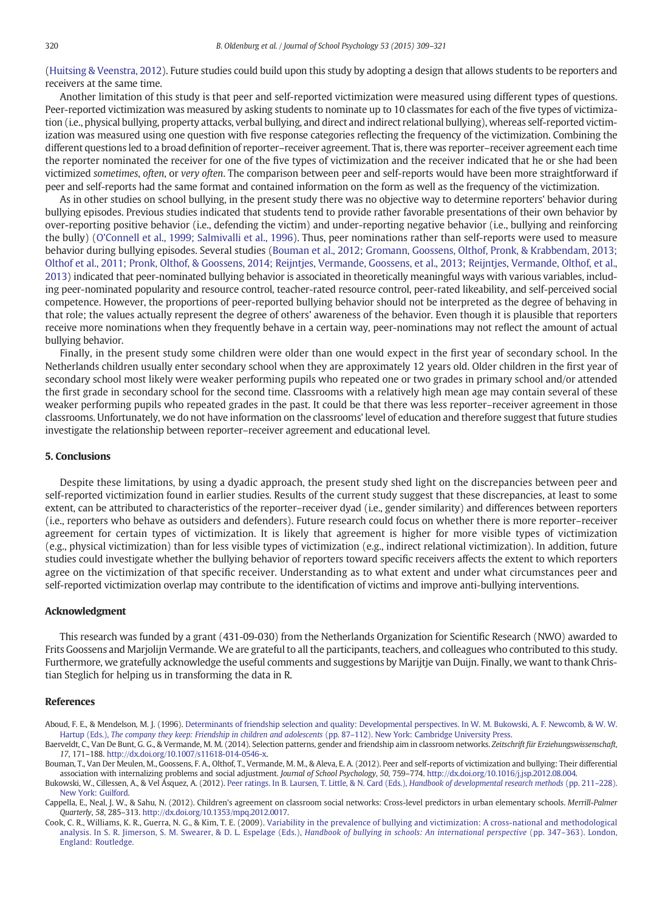<span id="page-11-0"></span>[\(Huitsing & Veenstra, 2012\)](#page-12-0). Future studies could build upon this study by adopting a design that allows students to be reporters and receivers at the same time.

Another limitation of this study is that peer and self-reported victimization were measured using different types of questions. Peer-reported victimization was measured by asking students to nominate up to 10 classmates for each of the five types of victimization (i.e., physical bullying, property attacks, verbal bullying, and direct and indirect relational bullying), whereas self-reported victimization was measured using one question with five response categories reflecting the frequency of the victimization. Combining the different questions led to a broad definition of reporter–receiver agreement. That is, there was reporter–receiver agreement each time the reporter nominated the receiver for one of the five types of victimization and the receiver indicated that he or she had been victimized sometimes, often, or very often. The comparison between peer and self-reports would have been more straightforward if peer and self-reports had the same format and contained information on the form as well as the frequency of the victimization.

As in other studies on school bullying, in the present study there was no objective way to determine reporters' behavior during bullying episodes. Previous studies indicated that students tend to provide rather favorable presentations of their own behavior by over-reporting positive behavior (i.e., defending the victim) and under-reporting negative behavior (i.e., bullying and reinforcing the bully) ([O'Connell et al., 1999; Salmivalli et al., 1996\)](#page-12-0). Thus, peer nominations rather than self-reports were used to measure behavior during bullying episodes. Several studies (Bouman et al., 2012; Gromann, Goossens, Olthof, Pronk, & Krabbendam, 2013; Olthof et al., 2011; Pronk, Olthof, & Goossens, 2014; Reijntjes, Vermande, Goossens, et al., 2013; Reijntjes, Vermande, Olthof, et al., 2013) indicated that peer-nominated bullying behavior is associated in theoretically meaningful ways with various variables, including peer-nominated popularity and resource control, teacher-rated resource control, peer-rated likeability, and self-perceived social competence. However, the proportions of peer-reported bullying behavior should not be interpreted as the degree of behaving in that role; the values actually represent the degree of others' awareness of the behavior. Even though it is plausible that reporters receive more nominations when they frequently behave in a certain way, peer-nominations may not reflect the amount of actual bullying behavior.

Finally, in the present study some children were older than one would expect in the first year of secondary school. In the Netherlands children usually enter secondary school when they are approximately 12 years old. Older children in the first year of secondary school most likely were weaker performing pupils who repeated one or two grades in primary school and/or attended the first grade in secondary school for the second time. Classrooms with a relatively high mean age may contain several of these weaker performing pupils who repeated grades in the past. It could be that there was less reporter–receiver agreement in those classrooms. Unfortunately, we do not have information on the classrooms' level of education and therefore suggest that future studies investigate the relationship between reporter–receiver agreement and educational level.

#### 5. Conclusions

Despite these limitations, by using a dyadic approach, the present study shed light on the discrepancies between peer and self-reported victimization found in earlier studies. Results of the current study suggest that these discrepancies, at least to some extent, can be attributed to characteristics of the reporter–receiver dyad (i.e., gender similarity) and differences between reporters (i.e., reporters who behave as outsiders and defenders). Future research could focus on whether there is more reporter–receiver agreement for certain types of victimization. It is likely that agreement is higher for more visible types of victimization (e.g., physical victimization) than for less visible types of victimization (e.g., indirect relational victimization). In addition, future studies could investigate whether the bullying behavior of reporters toward specific receivers affects the extent to which reporters agree on the victimization of that specific receiver. Understanding as to what extent and under what circumstances peer and self-reported victimization overlap may contribute to the identification of victims and improve anti-bullying interventions.

#### Acknowledgment

This research was funded by a grant (431-09-030) from the Netherlands Organization for Scientific Research (NWO) awarded to Frits Goossens and Marjolijn Vermande. We are grateful to all the participants, teachers, and colleagues who contributed to this study. Furthermore, we gratefully acknowledge the useful comments and suggestions by Marijtje van Duijn. Finally, we want to thank Christian Steglich for helping us in transforming the data in R.

#### References

Aboud, F. E., & Mendelson, M. J. (1996). [Determinants of friendship selection and quality: Developmental perspectives. In W. M. Bukowski, A. F. Newcomb, & W. W.](http://refhub.elsevier.com/S0022-4405(15)00019-9/rf0005) Hartup (Eds.), [The company they keep: Friendship in children and adolescents](http://refhub.elsevier.com/S0022-4405(15)00019-9/rf0005) (pp. 87–112). New York: Cambridge University Press.

Baerveldt, C., Van De Bunt, G. G., & Vermande, M. M. (2014). Selection patterns, gender and friendship aim in classroom networks. Zeitschrift für Erziehungswissenschaft, 17, 171–188. http://dx.doi.org/[10.1007/s11618-014-0546-x](http://dx.doi.org/10.1007/s11618-014-0546-x).

Bouman, T., Van Der Meulen, M., Goossens, F. A., Olthof, T., Vermande, M. M., & Aleva, E. A. (2012). Peer and self-reports of victimization and bullying: Their differential association with internalizing problems and social adjustment. Journal of School Psychology, 50, 759–774. http://dx.doi.org/[10.1016/j.jsp.2012.08.004](http://dx.doi.org/10.1016/j.jsp.2012.08.004).

Bukowski, W., Cillessen, A., & Vel Ásquez, A. (2012). [Peer ratings. In B. Laursen, T. Little, & N. Card \(Eds.\),](http://refhub.elsevier.com/S0022-4405(15)00019-9/rf0020) Handbook of developmental research methods (pp. 211–228). [New York: Guilford.](http://refhub.elsevier.com/S0022-4405(15)00019-9/rf0020)

Cappella, E., Neal, J. W., & Sahu, N. (2012). Children's agreement on classroom social networks: Cross-level predictors in urban elementary schools. Merrill-Palmer Quarterly, 58, 285–313. http://dx.doi.org[/10.1353/mpq.2012.0017](http://dx.doi.org/10.1353/mpq.2012.0017).

Cook, C. R., Williams, K. R., Guerra, N. G., & Kim, T. E. (2009). [Variability in the prevalence of bullying and victimization: A cross-national and methodological](http://refhub.elsevier.com/S0022-4405(15)00019-9/rf0030) [analysis. In S. R. Jimerson, S. M. Swearer, & D. L. Espelage \(Eds.\),](http://refhub.elsevier.com/S0022-4405(15)00019-9/rf0030) Handbook of bullying in schools: An international perspective (pp. 347–363). London, [England: Routledge.](http://refhub.elsevier.com/S0022-4405(15)00019-9/rf0030)